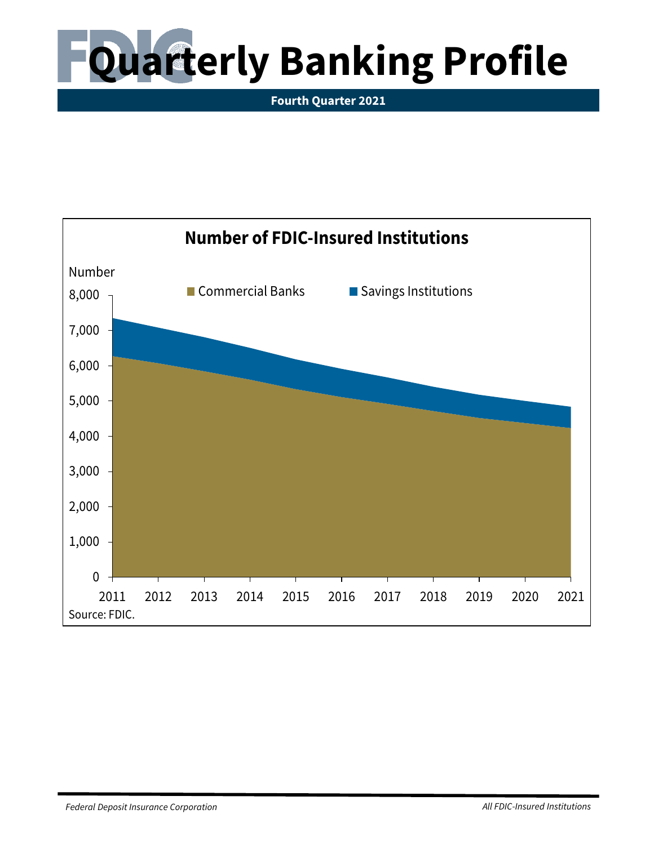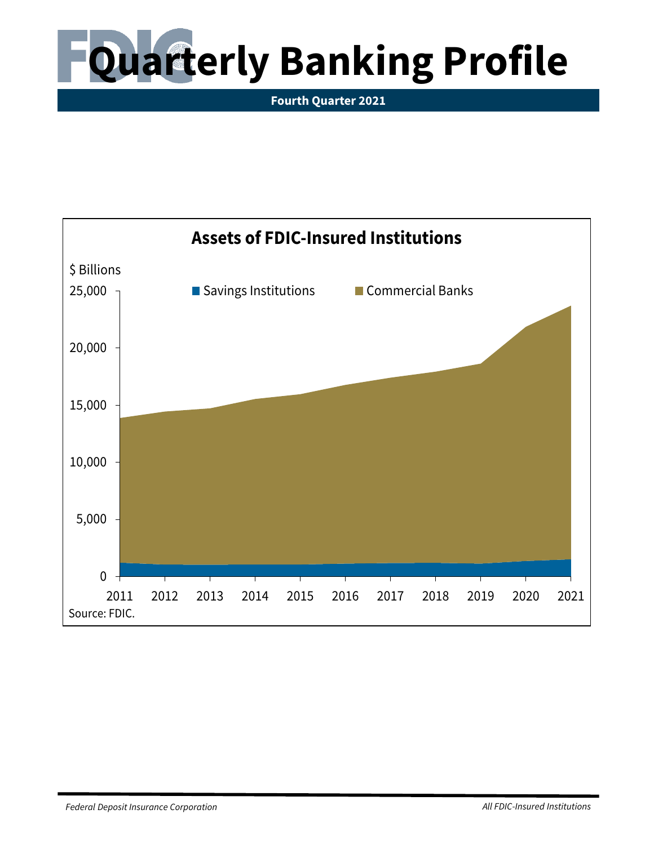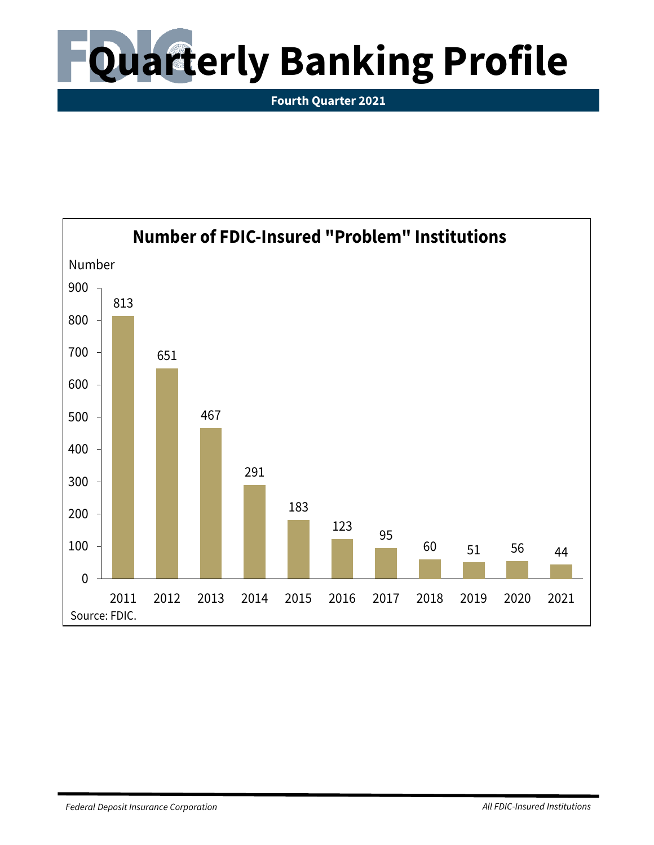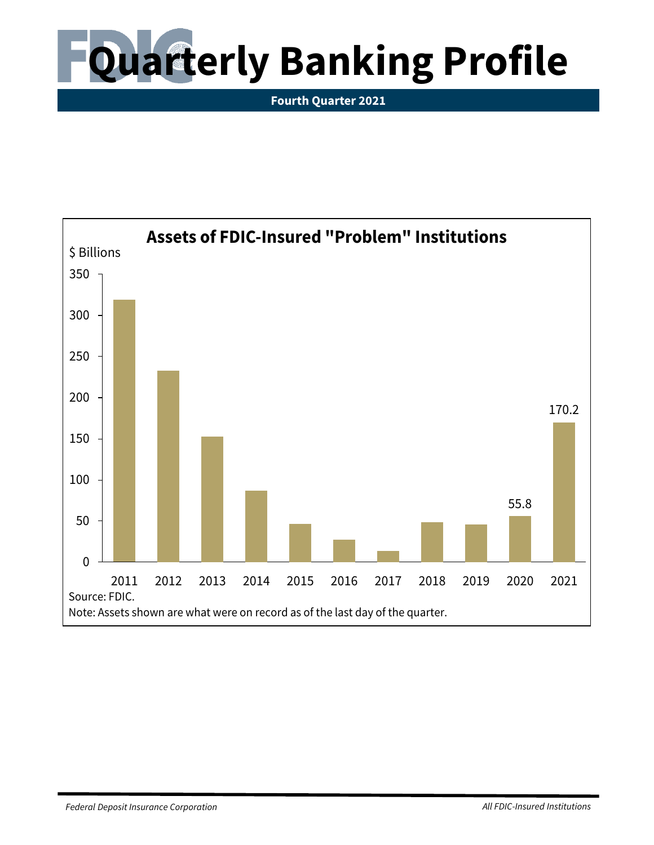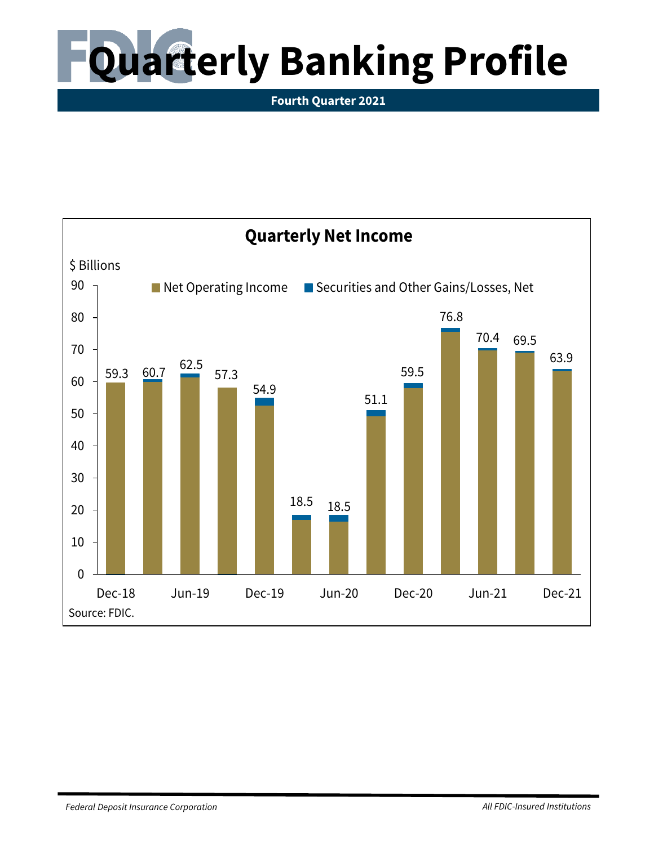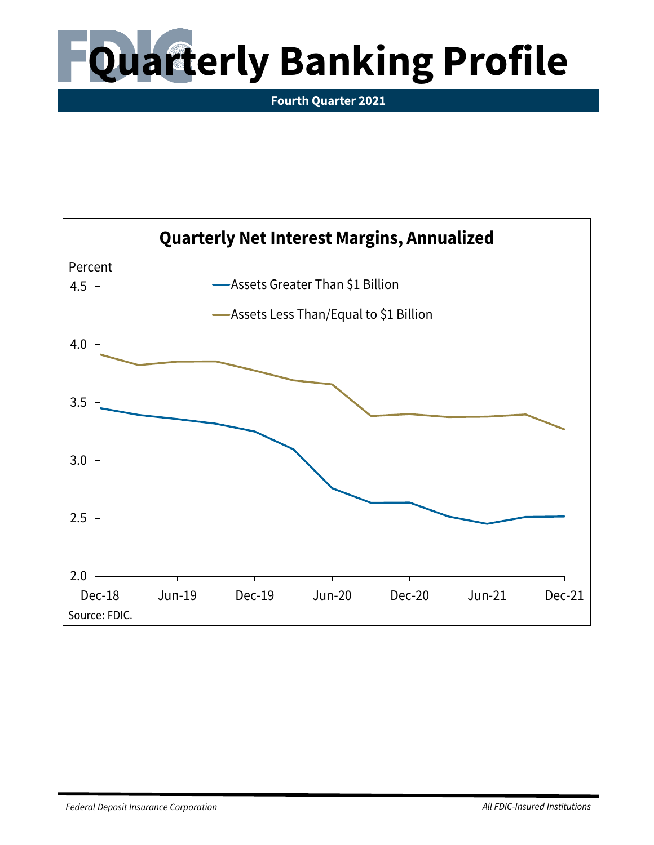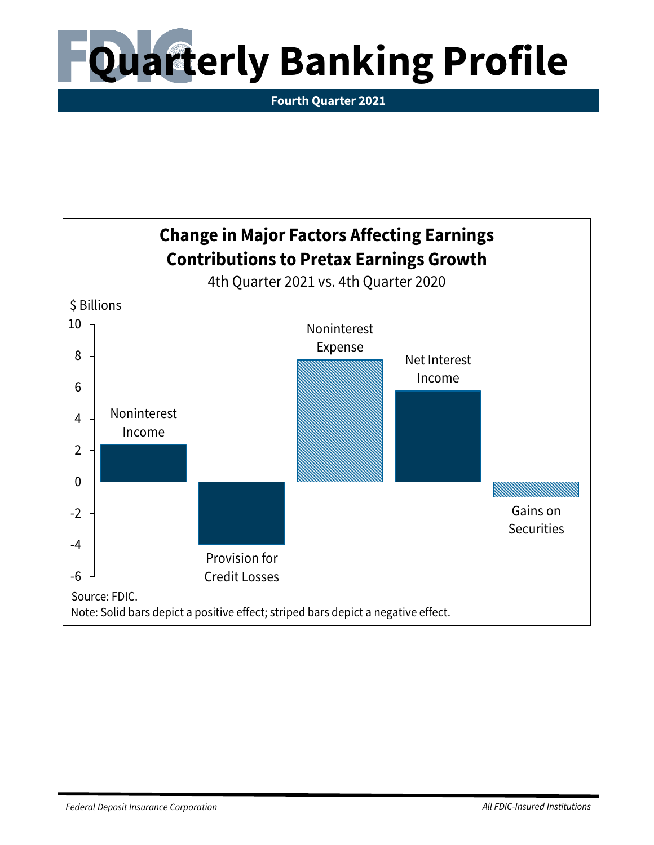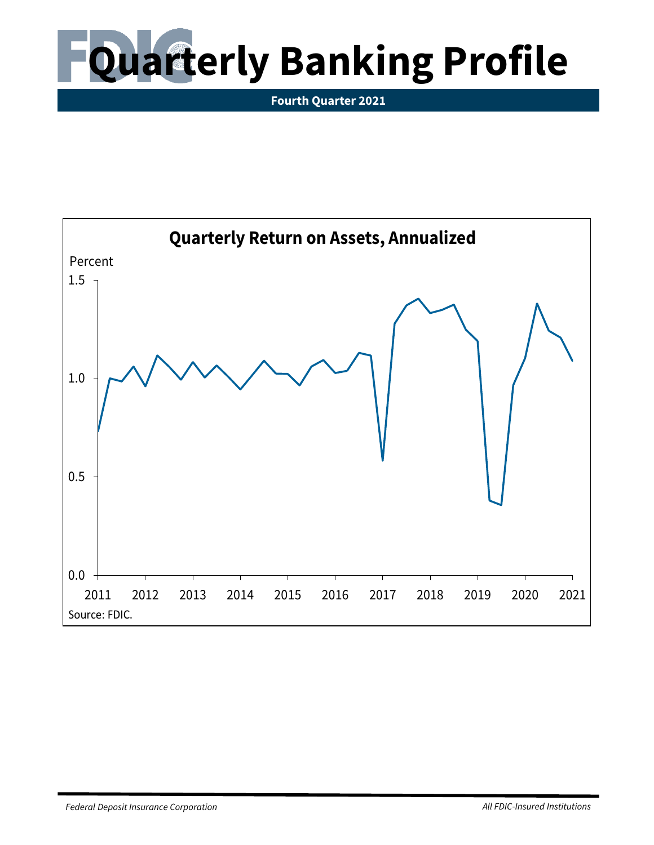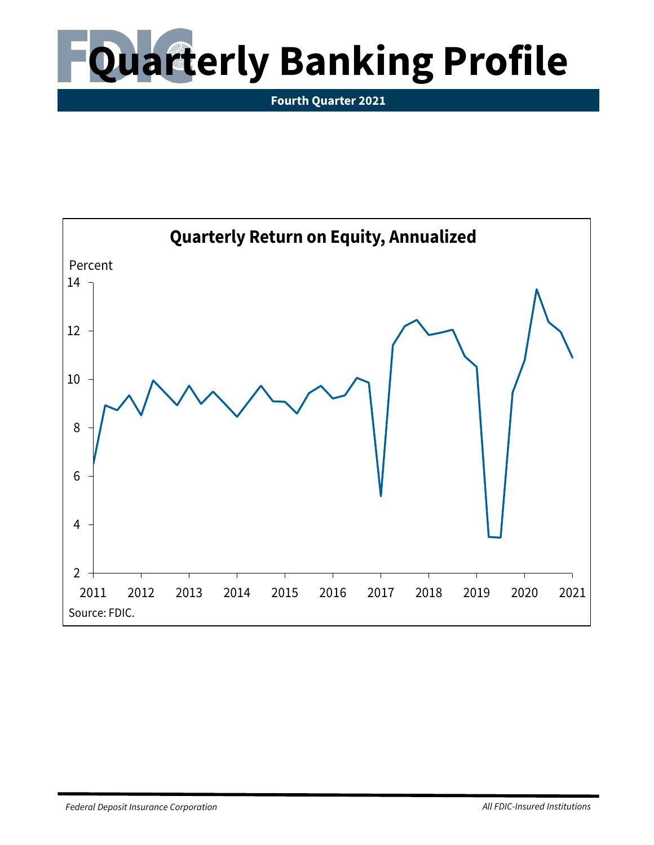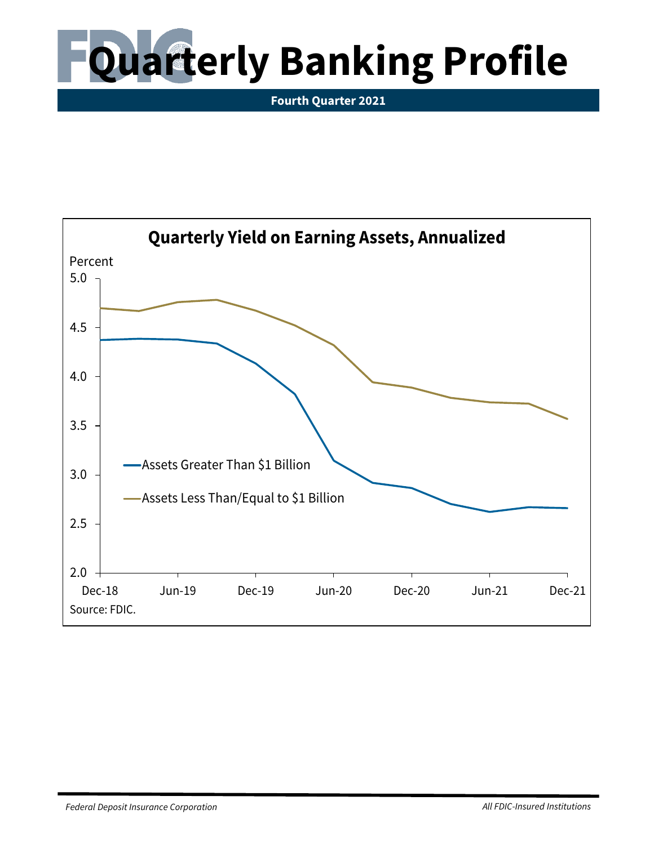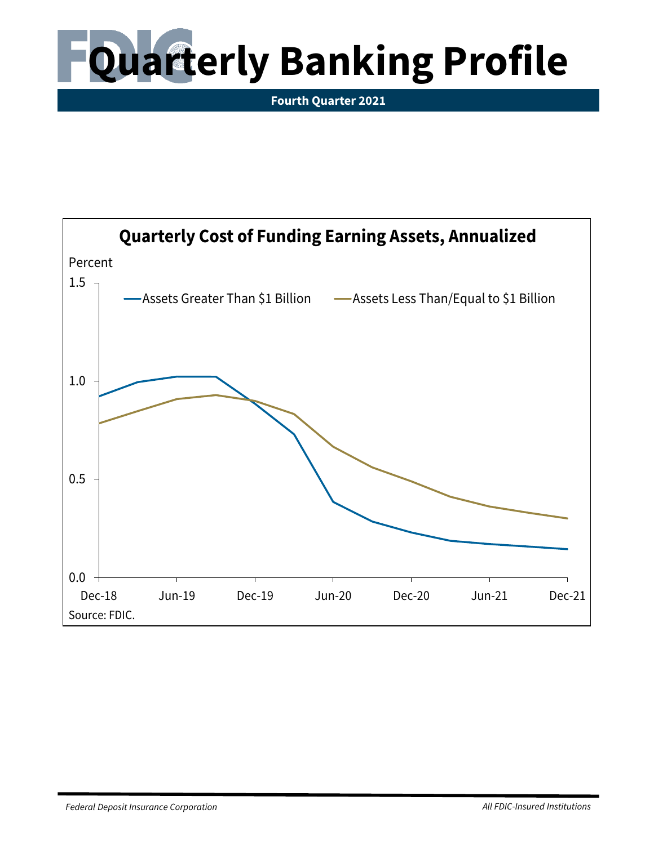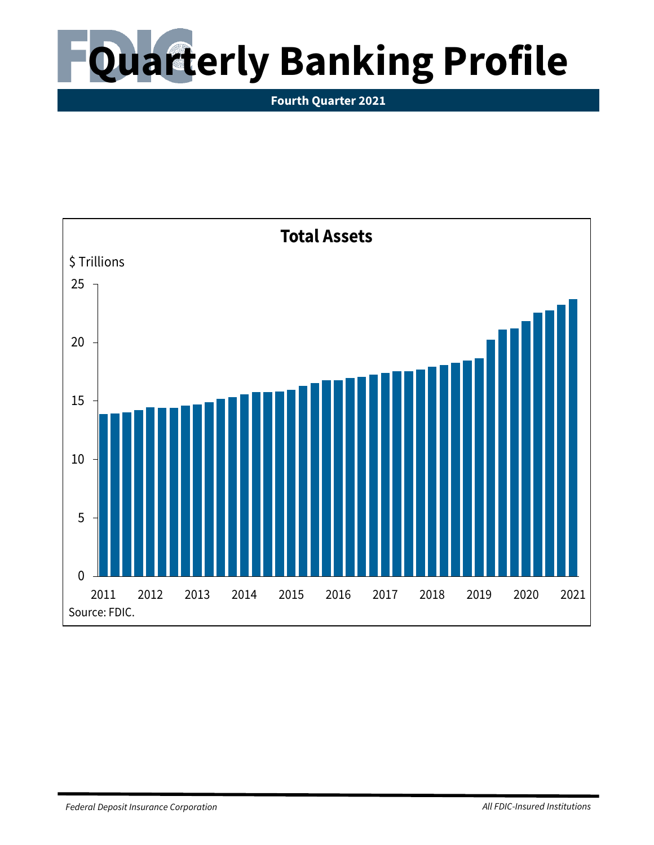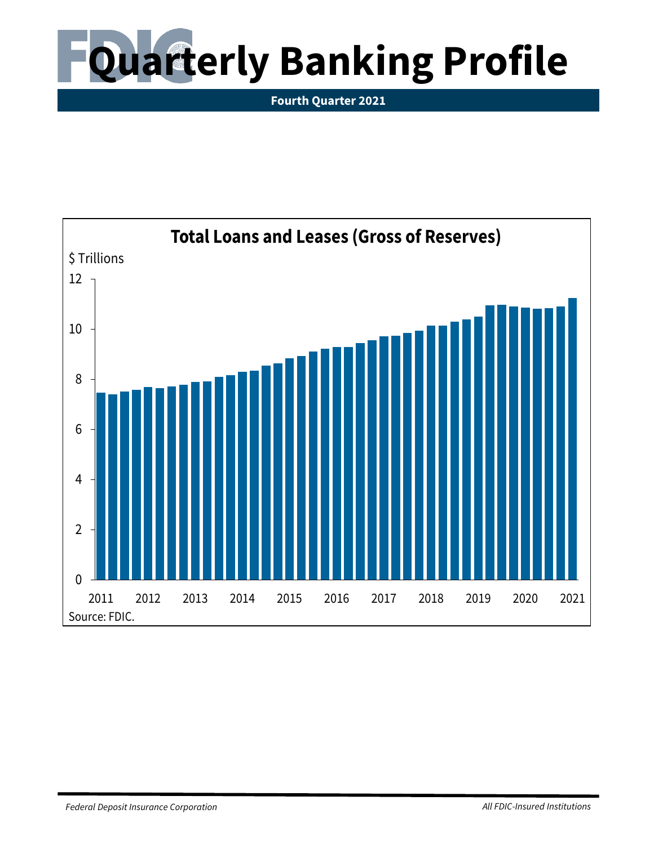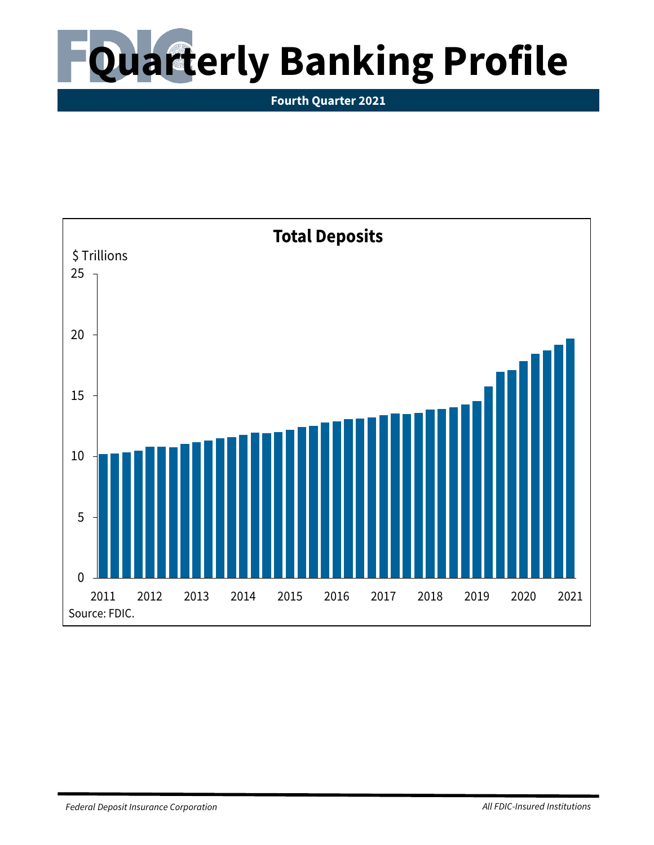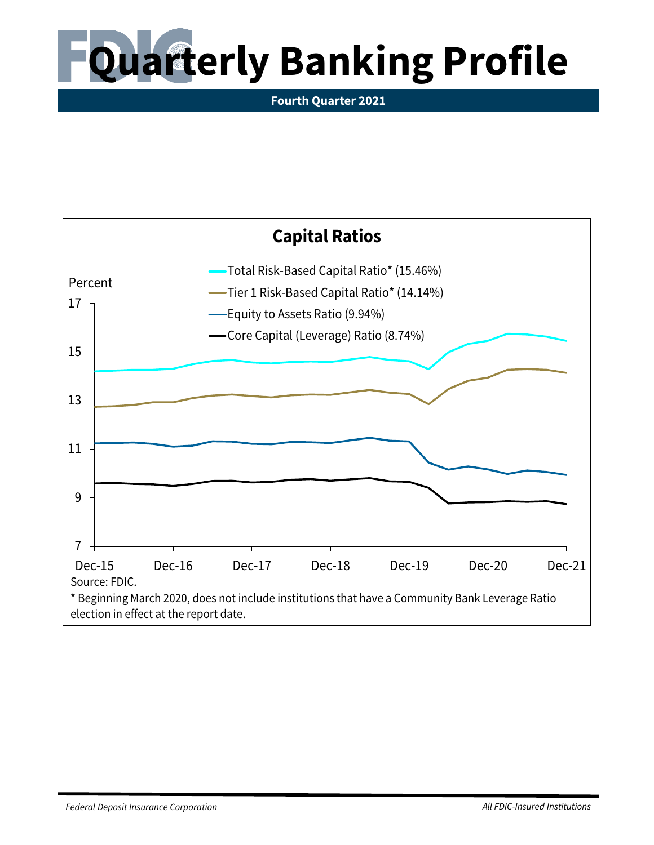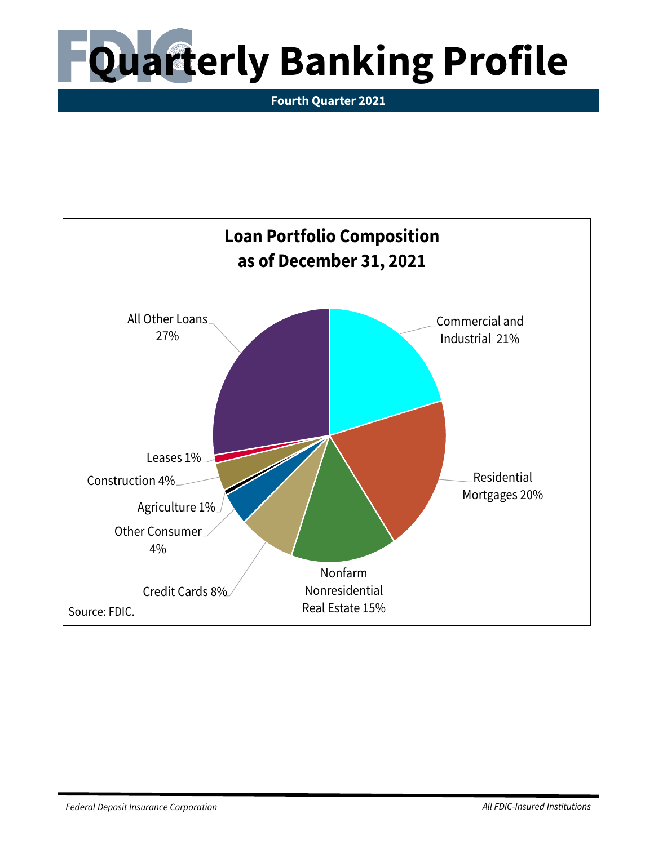

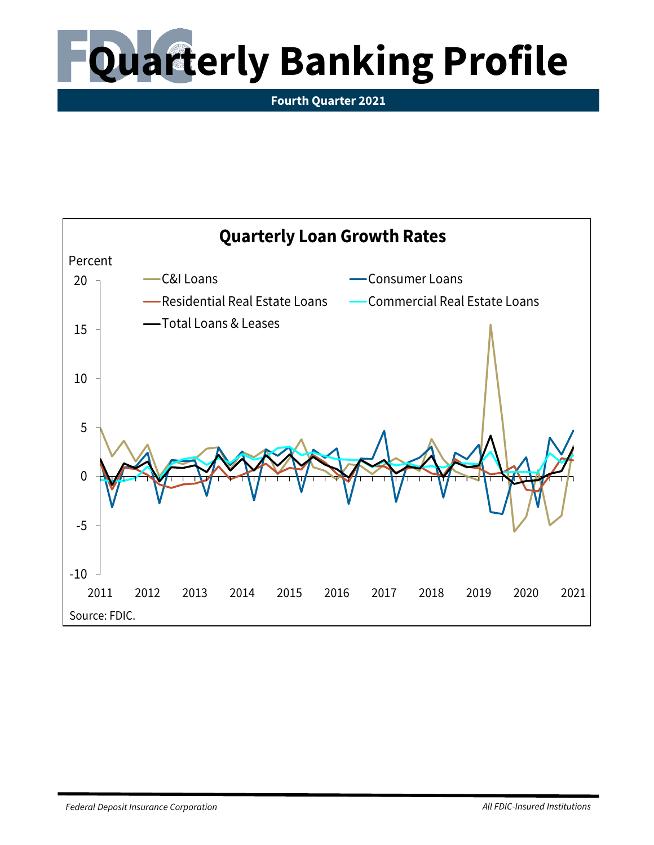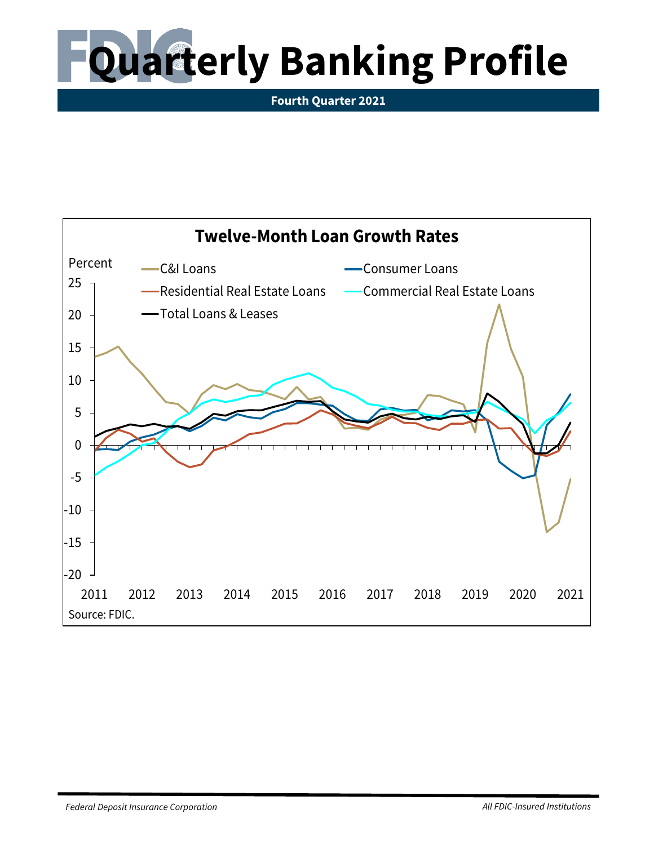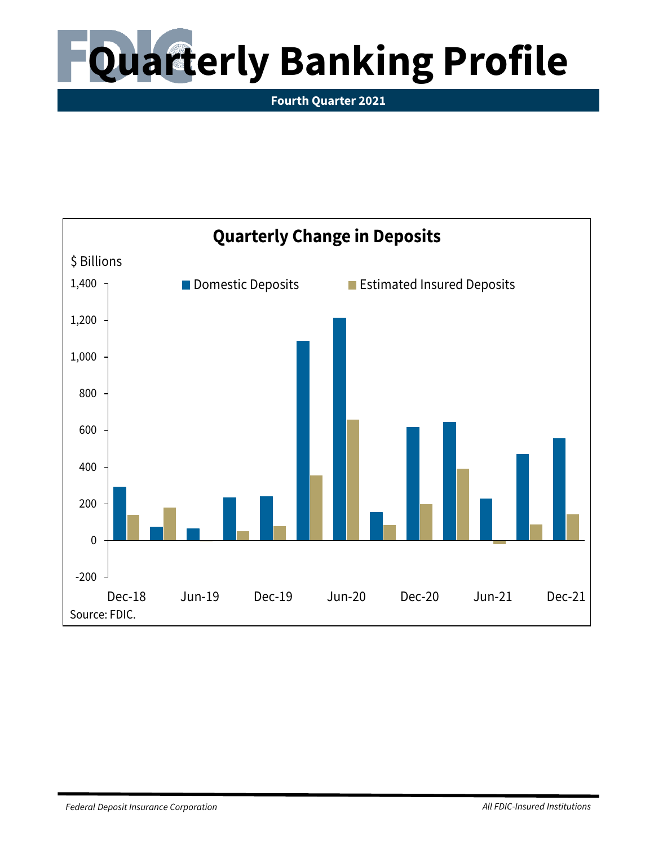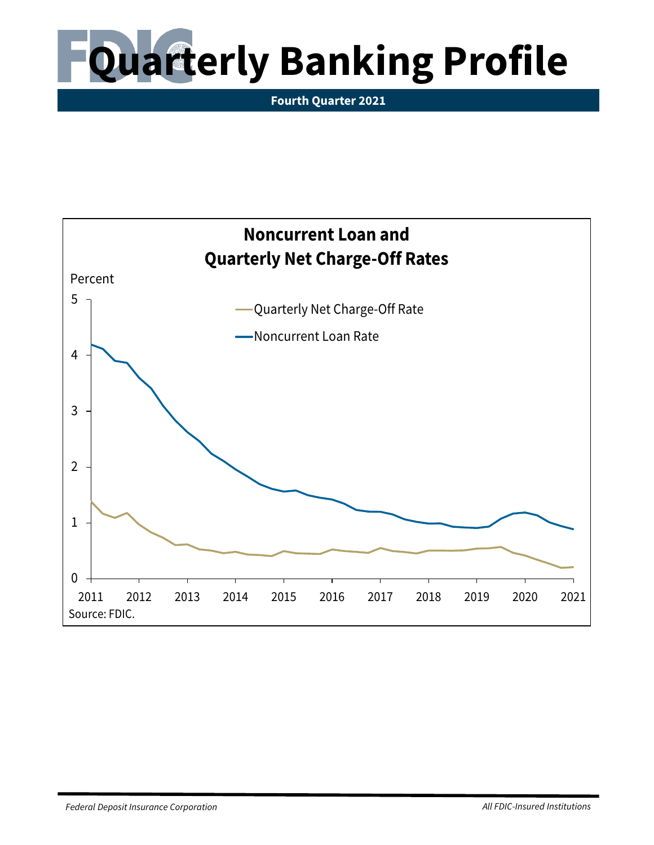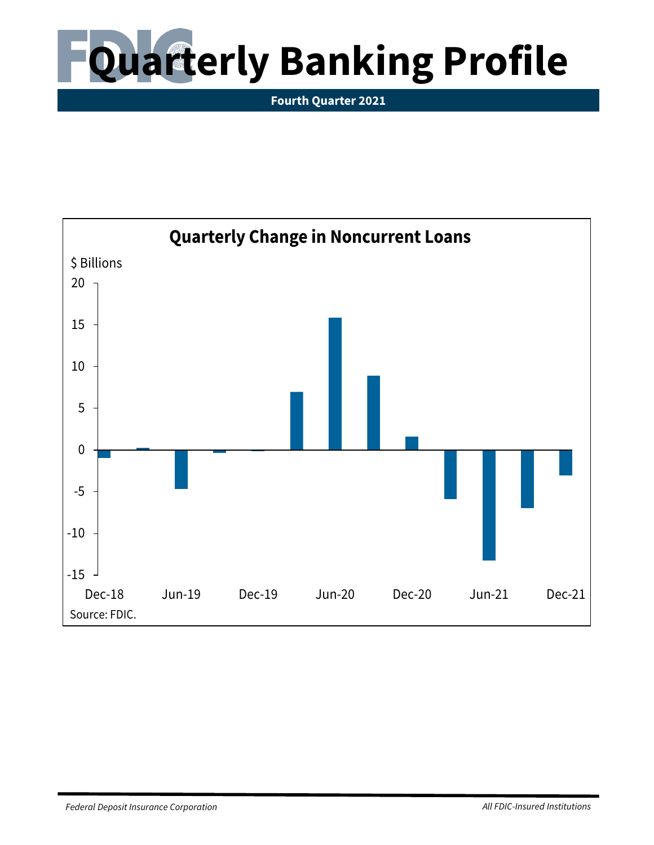